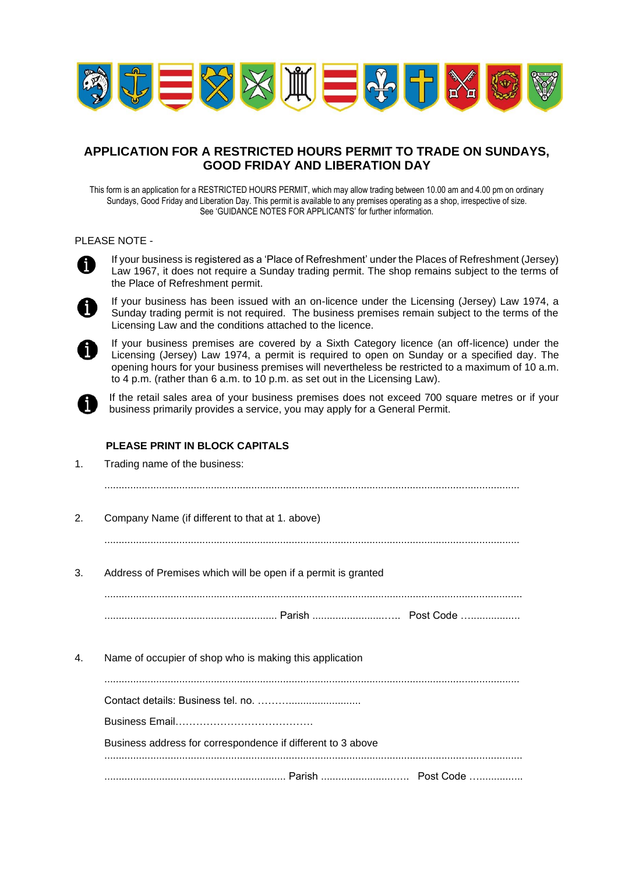

# **APPLICATION FOR A RESTRICTED HOURS PERMIT TO TRADE ON SUNDAYS, GOOD FRIDAY AND LIBERATION DAY**

This form is an application for a RESTRICTED HOURS PERMIT, which may allow trading between 10.00 am and 4.00 pm on ordinary Sundays, Good Friday and Liberation Day. This permit is available to any premises operating as a shop, irrespective of size. See 'GUIDANCE NOTES FOR APPLICANTS' for further information.

#### PLEASE NOTE -



If your business is registered as a 'Place of Refreshment' under the Places of Refreshment (Jersey) Law 1967, it does not require a Sunday trading permit. The shop remains subject to the terms of the Place of Refreshment permit.



If your business has been issued with an on-licence under the Licensing (Jersey) Law 1974, a Sunday trading permit is not required. The business premises remain subject to the terms of the Licensing Law and the conditions attached to the licence.



If your business premises are covered by a Sixth Category licence (an off-licence) under the Licensing (Jersey) Law 1974, a permit is required to open on Sunday or a specified day. The opening hours for your business premises will nevertheless be restricted to a maximum of 10 a.m. to 4 p.m. (rather than 6 a.m. to 10 p.m. as set out in the Licensing Law).

If the retail sales area of your business premises does not exceed 700 square metres or if your business primarily provides a service, you may apply for a General Permit.

## **PLEASE PRINT IN BLOCK CAPITALS**

| 1. | Trading name of the business:                                 |
|----|---------------------------------------------------------------|
|    |                                                               |
| 2. | Company Name (if different to that at 1. above)               |
|    |                                                               |
| 3. | Address of Premises which will be open if a permit is granted |
|    |                                                               |
|    |                                                               |
| 4. | Name of occupier of shop who is making this application       |
|    |                                                               |
|    |                                                               |
|    |                                                               |
|    | Business address for correspondence if different to 3 above   |
|    |                                                               |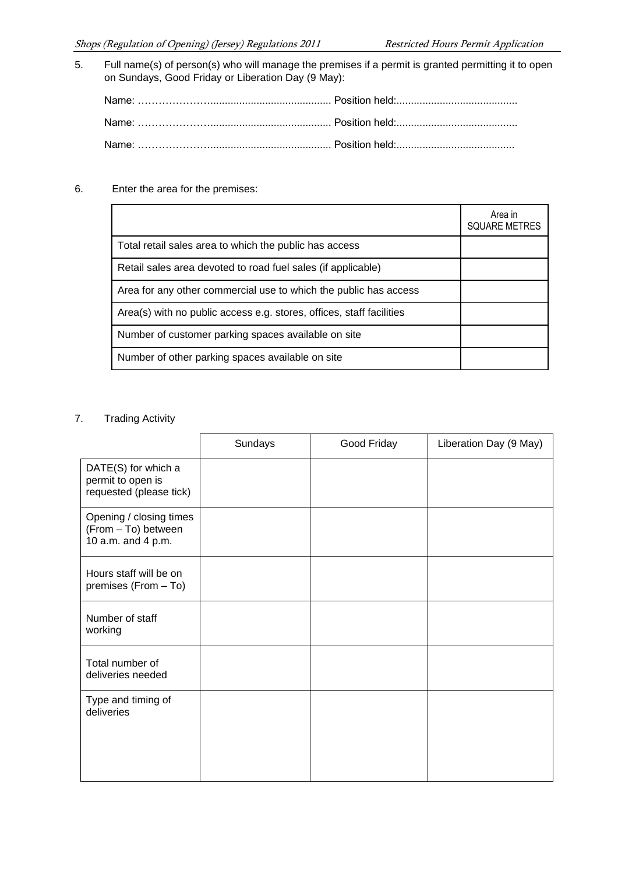5. Full name(s) of person(s) who will manage the premises if a permit is granted permitting it to open on Sundays, Good Friday or Liberation Day (9 May):

6. Enter the area for the premises:

|                                                                      | Area in<br><b>SQUARE METRES</b> |
|----------------------------------------------------------------------|---------------------------------|
| Total retail sales area to which the public has access               |                                 |
| Retail sales area devoted to road fuel sales (if applicable)         |                                 |
| Area for any other commercial use to which the public has access     |                                 |
| Area(s) with no public access e.g. stores, offices, staff facilities |                                 |
| Number of customer parking spaces available on site                  |                                 |
| Number of other parking spaces available on site                     |                                 |

## 7. Trading Activity

|                                                                      | Sundays | Good Friday | Liberation Day (9 May) |
|----------------------------------------------------------------------|---------|-------------|------------------------|
| DATE(S) for which a<br>permit to open is<br>requested (please tick)  |         |             |                        |
| Opening / closing times<br>(From - To) between<br>10 a.m. and 4 p.m. |         |             |                        |
| Hours staff will be on<br>premises (From - To)                       |         |             |                        |
| Number of staff<br>working                                           |         |             |                        |
| Total number of<br>deliveries needed                                 |         |             |                        |
| Type and timing of<br>deliveries                                     |         |             |                        |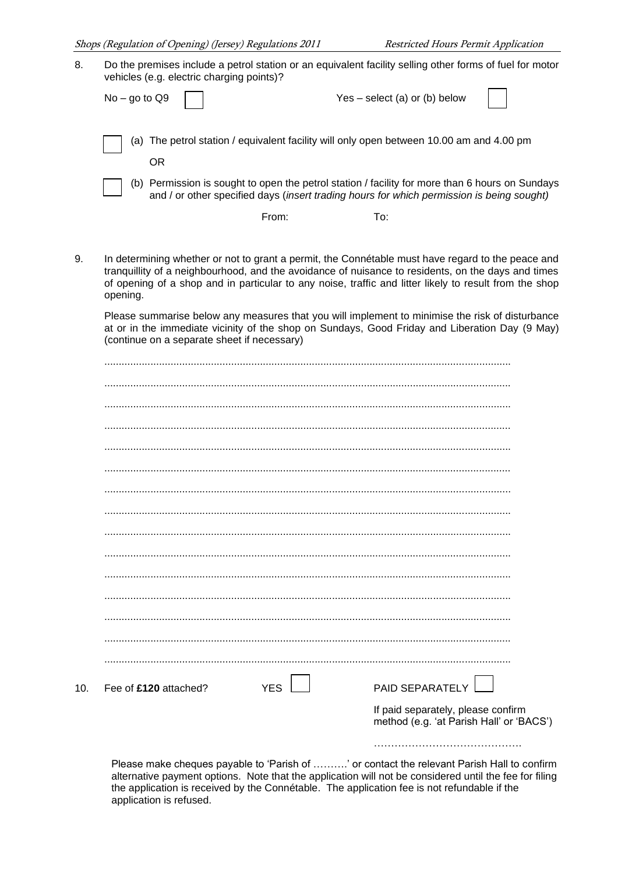| 8.  | Do the premises include a petrol station or an equivalent facility selling other forms of fuel for motor<br>vehicles (e.g. electric charging points)?                                                                                                                                                                                                                                                                                                                                                                                                                             |                                                                                                                                                                                              |  |
|-----|-----------------------------------------------------------------------------------------------------------------------------------------------------------------------------------------------------------------------------------------------------------------------------------------------------------------------------------------------------------------------------------------------------------------------------------------------------------------------------------------------------------------------------------------------------------------------------------|----------------------------------------------------------------------------------------------------------------------------------------------------------------------------------------------|--|
|     | $No - go to Q9$                                                                                                                                                                                                                                                                                                                                                                                                                                                                                                                                                                   | $Yes - select(a) or (b) below$                                                                                                                                                               |  |
|     | <b>OR</b>                                                                                                                                                                                                                                                                                                                                                                                                                                                                                                                                                                         | (a) The petrol station / equivalent facility will only open between 10.00 am and 4.00 pm                                                                                                     |  |
|     |                                                                                                                                                                                                                                                                                                                                                                                                                                                                                                                                                                                   | (b) Permission is sought to open the petrol station / facility for more than 6 hours on Sundays<br>and / or other specified days (insert trading hours for which permission is being sought) |  |
|     | From:                                                                                                                                                                                                                                                                                                                                                                                                                                                                                                                                                                             | To:                                                                                                                                                                                          |  |
| 9.  | In determining whether or not to grant a permit, the Connétable must have regard to the peace and<br>tranquillity of a neighbourhood, and the avoidance of nuisance to residents, on the days and times<br>of opening of a shop and in particular to any noise, traffic and litter likely to result from the shop<br>opening.<br>Please summarise below any measures that you will implement to minimise the risk of disturbance<br>at or in the immediate vicinity of the shop on Sundays, Good Friday and Liberation Day (9 May)<br>(continue on a separate sheet if necessary) |                                                                                                                                                                                              |  |
|     |                                                                                                                                                                                                                                                                                                                                                                                                                                                                                                                                                                                   |                                                                                                                                                                                              |  |
|     |                                                                                                                                                                                                                                                                                                                                                                                                                                                                                                                                                                                   |                                                                                                                                                                                              |  |
|     |                                                                                                                                                                                                                                                                                                                                                                                                                                                                                                                                                                                   |                                                                                                                                                                                              |  |
|     |                                                                                                                                                                                                                                                                                                                                                                                                                                                                                                                                                                                   |                                                                                                                                                                                              |  |
|     |                                                                                                                                                                                                                                                                                                                                                                                                                                                                                                                                                                                   |                                                                                                                                                                                              |  |
|     |                                                                                                                                                                                                                                                                                                                                                                                                                                                                                                                                                                                   |                                                                                                                                                                                              |  |
|     |                                                                                                                                                                                                                                                                                                                                                                                                                                                                                                                                                                                   |                                                                                                                                                                                              |  |
|     |                                                                                                                                                                                                                                                                                                                                                                                                                                                                                                                                                                                   |                                                                                                                                                                                              |  |
|     |                                                                                                                                                                                                                                                                                                                                                                                                                                                                                                                                                                                   |                                                                                                                                                                                              |  |
|     |                                                                                                                                                                                                                                                                                                                                                                                                                                                                                                                                                                                   |                                                                                                                                                                                              |  |
|     |                                                                                                                                                                                                                                                                                                                                                                                                                                                                                                                                                                                   |                                                                                                                                                                                              |  |
|     |                                                                                                                                                                                                                                                                                                                                                                                                                                                                                                                                                                                   |                                                                                                                                                                                              |  |
|     |                                                                                                                                                                                                                                                                                                                                                                                                                                                                                                                                                                                   |                                                                                                                                                                                              |  |
|     |                                                                                                                                                                                                                                                                                                                                                                                                                                                                                                                                                                                   |                                                                                                                                                                                              |  |
| 10. | <b>YES</b><br>Fee of £120 attached?                                                                                                                                                                                                                                                                                                                                                                                                                                                                                                                                               | PAID SEPARATELY                                                                                                                                                                              |  |
|     |                                                                                                                                                                                                                                                                                                                                                                                                                                                                                                                                                                                   | If paid separately, please confirm<br>method (e.g. 'at Parish Hall' or 'BACS')                                                                                                               |  |
|     |                                                                                                                                                                                                                                                                                                                                                                                                                                                                                                                                                                                   |                                                                                                                                                                                              |  |

Please make cheques payable to 'Parish of ……….' or contact the relevant Parish Hall to confirm alternative payment options. Note that the application will not be considered until the fee for filing the application is received by the Connétable. The application fee is not refundable if the application is refused.